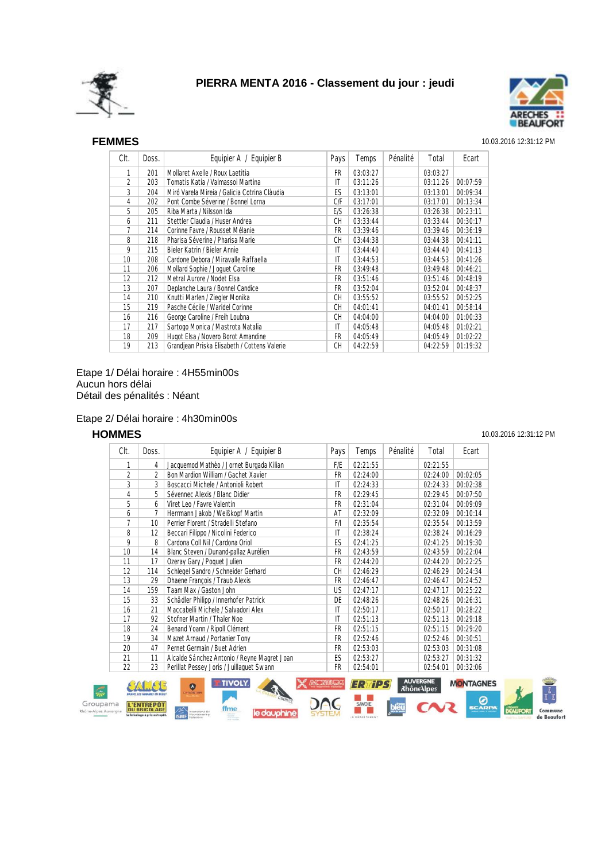



### SEF **FEMMES** 10.03.2016 12:31:12 PM

| Clt. | Doss. | Equipier A / Equipier B                      | Pays      | Temps    | Pénalité | Total    | Ecart    |
|------|-------|----------------------------------------------|-----------|----------|----------|----------|----------|
| 1    | 201   | Mollaret Axelle / Roux Laetitia              | FR.       | 03:03:27 |          | 03:03:27 |          |
| 2    | 203   | Tomatis Katia / Valmassoi Martina            | IT        | 03:11:26 |          | 03:11:26 | 00:07:59 |
| 3    | 204   | Miró Varela Mireia / Galicia Cotrina Clàudia | ES        | 03:13:01 |          | 03:13:01 | 00:09:34 |
| 4    | 202   | Pont Combe Séverine / Bonnel Lorna           | C/F       | 03:17:01 |          | 03:17:01 | 00:13:34 |
| 5    | 205   | Riba Marta / Nilsson Ida                     | E/S       | 03:26:38 |          | 03:26:38 | 00:23:11 |
| 6    | 211   | Stettler Claudia / Huser Andrea              | СH        | 03:33:44 |          | 03:33:44 | 00:30:17 |
| 7    | 214   | Corinne Favre / Rousset Mélanie              | FR        | 03:39:46 |          | 03:39:46 | 00:36:19 |
| 8    | 218   | Pharisa Séverine / Pharisa Marie             | <b>CH</b> | 03:44:38 |          | 03:44:38 | 00:41:11 |
| 9    | 215   | Bieler Katrin / Bieler Annie                 | ΙT        | 03:44:40 |          | 03:44:40 | 00:41:13 |
| 10   | 208   | Cardone Debora / Miravalle Raffaella         | ΙT        | 03:44:53 |          | 03:44:53 | 00:41:26 |
| 11   | 206   | Mollard Sophie / Joquet Caroline             | FR.       | 03:49:48 |          | 03:49:48 | 00:46:21 |
| 12   | 212   | Metral Aurore / Nodet Elsa                   | FR        | 03:51:46 |          | 03:51:46 | 00:48:19 |
| 13   | 207   | Deplanche Laura / Bonnel Candice             | FR        | 03:52:04 |          | 03:52:04 | 00:48:37 |
| 14   | 210   | Knutti Marlen / Ziegler Monika               | CН        | 03:55:52 |          | 03:55:52 | 00:52:25 |
| 15   | 219   | Pasche Cécile / Waridel Corinne              | <b>CH</b> | 04:01:41 |          | 04:01:41 | 00:58:14 |
| 16   | 216   | George Caroline / Freih Loubna               | СH        | 04:04:00 |          | 04:04:00 | 01:00:33 |
| 17   | 217   | Sartogo Monica / Mastrota Natalia            | ΙT        | 04:05:48 |          | 04:05:48 | 01:02:21 |
| 18   | 209   | Hugot Elsa / Novero Borot Amandine           | FR        | 04:05:49 |          | 04:05:49 | 01:02:22 |
| 19   | 213   | Grandjean Priska Elisabeth / Cottens Valerie | CH        | 04:22:59 |          | 04:22:59 | 01:19:32 |

Etape 1/ Délai horaire : 4H55min00s Aucun hors délai Détail des pénalités : Néant

### Etape 2/ Délai horaire : 4h30min00s

| Clt.             | Doss.           | Equipier A / Equipier B                     | Pays      | Temps    | Pénalité | Total    | Ecart    |
|------------------|-----------------|---------------------------------------------|-----------|----------|----------|----------|----------|
| 1                | 4               | Jacquemod Mathèo / Jornet Burgada Kilian    | F/E       | 02:21:55 |          | 02:21:55 |          |
| 2                | 2               | Bon Mardion William / Gachet Xavier         | FR        | 02:24:00 |          | 02:24:00 | 00:02:05 |
| 3                | 3               | Boscacci Michele / Antonioli Robert         | IT        | 02:24:33 |          | 02:24:33 | 00:02:38 |
| 4                | 5               | Sévennec Alexis / Blanc Didier              | FR        | 02:29:45 |          | 02:29:45 | 00:07:50 |
| 5                | 6               | Viret Leo / Favre Valentin                  | FR        | 02:31:04 |          | 02:31:04 | 00:09:09 |
| 6                |                 | Herrmann Jakob / Weißkopf Martin            | AT        | 02:32:09 |          | 02:32:09 | 00:10:14 |
| 7                | 10 <sup>°</sup> | Perrier Florent / Stradelli Stefano         | F/I       | 02:35:54 |          | 02:35:54 | 00:13:59 |
| 8                | 12 <sup>°</sup> | Beccari Filippo / Nicolini Federico         | IT        | 02:38:24 |          | 02:38:24 | 00:16:29 |
| 9                | 8               | Cardona Coll Nil / Cardona Oriol            | ES        | 02:41:25 |          | 02:41:25 | 00:19:30 |
| 10 <sup>10</sup> | 14              | Blanc Steven / Dunand-pallaz Aurélien       | FR        | 02:43:59 |          | 02:43:59 | 00:22:04 |
| 11               | 17              | Ozeray Gary / Poquet Julien                 | FR        | 02:44:20 |          | 02:44:20 | 00:22:25 |
| 12               | 114             | Schlegel Sandro / Schneider Gerhard         | <b>CH</b> | 02:46:29 |          | 02:46:29 | 00:24:34 |
| 13               | 29              | Dhaene François / Traub Alexis              | FR        | 02:46:47 |          | 02:46:47 | 00:24:52 |
| 14               | 159             | Taam Max / Gaston John                      | US.       | 02:47:17 |          | 02:47:17 | 00:25:22 |
| 15               | 33              | Schädler Philipp / Innerhofer Patrick       | DE        | 02:48:26 |          | 02:48:26 | 00:26:31 |
| 16               | 21              | Maccabelli Michele / Salvadori Alex         | ΙT        | 02:50:17 |          | 02:50:17 | 00:28:22 |
| 17               | 92              | Stofner Martin / Thaler Noe                 | IT        | 02:51:13 |          | 02:51:13 | 00:29:18 |
| 18               | 24              | Benand Yoann / Ripoll Clément               | FR        | 02:51:15 |          | 02:51:15 | 00:29:20 |
| 19               | 34              | Mazet Arnaud / Portanier Tony               | FR        | 02:52:46 |          | 02:52:46 | 00:30:51 |
| 20               | 47              | Pernet Germain / Buet Adrien                | FR        | 02:53:03 |          | 02:53:03 | 00:31:08 |
| 21               | 11              | Alcalde Sánchez Antonio / Reyne Magret Joan | ES        | 02:53:27 |          | 02:53:27 | 00:31:32 |
| 22               | 23              | Perillat Pessey Joris / Juillaquet Swann    | FR        | 02:54:01 |          | 02:54:01 | 00:32:06 |



**HOMMES** 10.03.2016 12:31:12 PM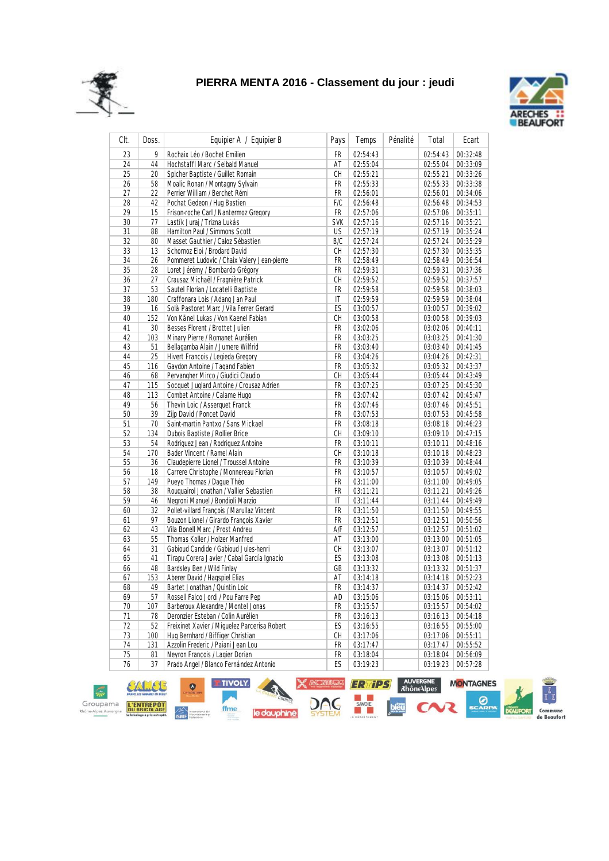



| CIt.     | Doss.    | Equipier A / Equipier B                                                            | Pays       | Temps                | Pénalité | Total                | Ecart                |
|----------|----------|------------------------------------------------------------------------------------|------------|----------------------|----------|----------------------|----------------------|
| 23       | 9        | Rochaix Léo / Bochet Emilien                                                       | FR         | 02:54:43             |          | 02:54:43             | 00:32:48             |
| 24       | 44       | Hochstaffl Marc / Seibald Manuel                                                   | AT         | 02:55:04             |          | 02:55:04             | 00:33:09             |
| 25       | 20       | Spicher Baptiste / Guillet Romain                                                  | CH         | 02:55:21             |          | 02:55:21             | 00:33:26             |
| 26       | 58       | Moalic Ronan / Montagny Sylvain                                                    | FR         | 02:55:33             |          | 02:55:33             | 00:33:38             |
| 27       | 22       | Perrier William / Berchet Rémi                                                     | FR         | 02:56:01             |          | 02:56:01             | 00:34:06             |
| 28       | 42       | Pochat Gedeon / Hug Bastien                                                        | F/C        | 02:56:48             |          | 02:56:48             | 00:34:53             |
| 29       | 15       | Frison-roche Carl / Nantermoz Gregory                                              | FR         | 02:57:06             |          | 02:57:06             | 00:35:11             |
| 30       | 77       | Lastík Juraj / Trizna Lukás                                                        | <b>SVK</b> | 02:57:16             |          | 02:57:16             | 00:35:21             |
| 31       | 88       | Hamilton Paul / Simmons Scott                                                      | US         | 02:57:19             |          | 02:57:19             | 00:35:24             |
| 32       | 80       | Masset Gauthier / Caloz Sébastien                                                  | B/C        | 02:57:24             |          | 02:57:24             | 00:35:29             |
| 33       | 13       | Schornoz Eloi / Brodard David                                                      | CН         | 02:57:30             |          | 02:57:30             | 00:35:35             |
| 34       | 26       | Pommeret Ludovic / Chaix Valery Jean-pierre                                        | FR         | 02:58:49             |          | 02:58:49             | 00:36:54             |
| 35       | 28       | Loret Jérémy / Bombardo Grégory                                                    | FR         | 02:59:31             |          | 02:59:31             | 00:37:36             |
| 36       | 27       | Crausaz Michaël / Fragnière Patrick                                                | CH         | 02:59:52             |          | 02:59:52             | 00:37:57             |
| 37       | 53       | Sautel Florian / Locatelli Baptiste                                                | FR         | 02:59:58             |          | 02:59:58             | 00:38:03             |
| 38       | 180      | Craffonara Lois / Adang Jan Paul                                                   | IT         | 02:59:59             |          | 02:59:59             | 00:38:04             |
| 39       | 16       | Solà Pastoret Marc / Vila Ferrer Gerard                                            | ES         | 03:00:57             |          | 03:00:57             | 00:39:02             |
| 40       | 152      | Von Känel Lukas / Von Kaenel Fabian                                                | CН         | 03:00:58             |          | 03:00:58             | 00:39:03             |
| 41       | 30       | Besses Florent / Brottet Julien                                                    | FR         | 03:02:06             |          | 03:02:06             | 00:40:11             |
| 42       | 103      | Minary Pierre / Romanet Aurélien                                                   | FR         | 03:03:25             |          | 03:03:25             | 00:41:30             |
| 43       | 51       | Bellagamba Alain / Jumere Wilfrid                                                  | FR         | 03:03:40             |          | 03:03:40             | 00:41:45             |
| 44       | 25       | Hivert Francois / Legieda Gregory                                                  | FR         | 03:04:26             |          | 03:04:26             | 00:42:31             |
| 45       | 116      | Gaydon Antoine / Tagand Fabien                                                     | FR         | 03:05:32             |          | 03:05:32             | 00:43:37             |
| 46       | 68       | Pervangher Mirco / Giudici Claudio                                                 | CН         | 03:05:44             |          | 03:05:44             | 00:43:49             |
| 47       | 115      | Socquet Juglard Antoine / Crousaz Adrien                                           | FR         | 03:07:25             |          | 03:07:25             | 00:45:30             |
| 48       | 113      | Combet Antoine / Calame Hugo                                                       | FR         | 03:07:42             |          | 03:07:42             | 00:45:47             |
| 49       | 56       | Thevin Loic / Asserguet Franck                                                     | FR         | 03:07:46             |          | 03:07:46             | 00:45:51             |
| 50       | 39       | Zijp David / Poncet David                                                          | FR         | 03:07:53             |          | 03:07:53             | 00:45:58             |
| 51       | 70       | Saint-martin Pantxo / Sans Mickael                                                 | FR         | 03:08:18             |          | 03:08:18             | 00:46:23             |
| 52       | 134      | Dubois Baptiste / Rollier Brice                                                    | CН         | 03:09:10             |          | 03:09:10             | 00:47:15             |
| 53       | 54       | Rodriguez Jean / Rodriguez Antoine                                                 | FR         | 03:10:11             |          | 03:10:11             | 00:48:16             |
| 54       | 170      | Bader Vincent / Ramel Alain                                                        | CH         | 03:10:18             |          | 03:10:18             | 00:48:23             |
| 55       | 36       | Claudepierre Lionel / Troussel Antoine                                             | FR         | 03:10:39             |          | 03:10:39             | 00:48:44             |
| 56       | 18       | Carrere Christophe / Monnereau Florian                                             | FR         | 03:10:57             |          | 03:10:57             | 00:49:02             |
| 57       | 149      | Pueyo Thomas / Daque Théo                                                          | FR         | 03:11:00             |          | 03:11:00             | 00:49:05             |
| 58       | 38       | Rouquairol Jonathan / Vallier Sebastien                                            | FR         | 03:11:21             |          | 03:11:21             | 00:49:26             |
| 59       | 46       | Negroni Manuel / Bondioli Marzio                                                   | IT         | 03:11:44             |          | 03:11:44             | 00:49:49             |
| 60       | 32       | Pollet-villard François / Marullaz Vincent                                         | FR         | 03:11:50             |          | 03:11:50             | 00:49:55             |
| 61       | 97       | Bouzon Lionel / Girardo François Xavier                                            | FR         | 03:12:51             |          | 03:12:51             | 00:50:56             |
| 62       | 43       | Vila Bonell Marc / Prost Andreu                                                    | A/F        | 03:12:57             |          | 03:12:57             | 00:51:02             |
| 63       | 55       | Thomas Koller / Holzer Manfred                                                     | AT         | 03:13:00             |          | 03:13:00             | 00:51:05             |
| 64       | 31       | Gabioud Candide / Gabioud Jules-henri                                              | CН         | 03:13:07             |          | 03:13:07             | 00:51:12             |
| 65       | 41       | Tirapu Corera Javier / Cabal García Ignacio                                        | ES         | 03:13:08             |          | 03:13:08             | 00:51:13             |
| 66       | 48       | Bardsley Ben / Wild Finlay                                                         | GB         | 03:13:32             |          | 03:13:32             | 00:51:37             |
| 67       | 153      | Aberer David / Hagspiel Elias                                                      | AT         | 03:14:18             |          | 03:14:18             | 00:52:23             |
| 68       | 49       | Bartet Jonathan / Quintin Loic                                                     | FR         | 03:14:37             |          | 03:14:37             | 00:52:42             |
| 69       | 57       | Rossell Falco Jordi / Pou Farre Pep                                                | AD         | 03:15:06             |          | 03:15:06             | 00:53:11             |
| 70       | 107      | Barberoux Alexandre / Montel Jonas                                                 | FR         | 03:15:57             |          | 03:15:57             | 00:54:02             |
| 71<br>72 | 78<br>52 | Deronzier Esteban / Colin Aurélien<br>Freixinet Xavier / Miquelez Parcerisa Robert | FR<br>ES   | 03:16:13<br>03:16:55 |          | 03:16:13<br>03:16:55 | 00:54:18<br>00:55:00 |
| 73       | 100      | Hug Bernhard / Biffiger Christian                                                  | СH         |                      |          | 03:17:06             |                      |
| 74       | 131      | Azzolin Frederic / Paiani Jean Lou                                                 | FR         | 03:17:06<br>03:17:47 |          | 03:17:47             | 00:55:11<br>00:55:52 |
| 75       | 81       | Neyron François / Lagier Dorian                                                    | FR         | 03:18:04             |          | 03:18:04             | 00:56:09             |
| 76       | 37       | Prado Angel / Blanco Fernández Antonio                                             | ES         | 03:19:23             |          | 03:19:23             | 00:57:28             |
|          |          |                                                                                    |            |                      |          |                      |                      |

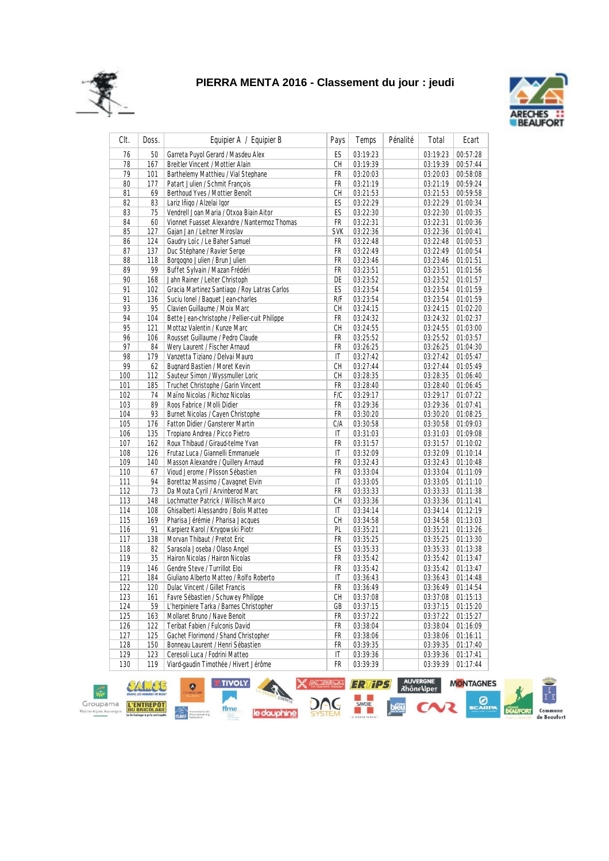



| CIt. | Doss. | Equipier A / Equipier B                       | Pays       | Temps    | Pénalité | Total    | Ecart    |
|------|-------|-----------------------------------------------|------------|----------|----------|----------|----------|
| 76   | 50    | Garreta Puyol Gerard / Masdeu Alex            | ES         | 03:19:23 |          | 03:19:23 | 00:57:28 |
| 78   | 167   | Breitler Vincent / Mottier Alain              | CH         | 03:19:39 |          | 03:19:39 | 00:57:44 |
| 79   | 101   | Barthelemy Matthieu / Vial Stephane           | FR         | 03:20:03 |          | 03:20:03 | 00:58:08 |
| 80   | 177   | Patart Julien / Schmit François               | FR         | 03:21:19 |          | 03:21:19 | 00:59:24 |
| 81   | 69    | Berthoud Yves / Mottier Benoît                | СH         | 03:21:53 |          | 03:21:53 | 00:59:58 |
| 82   | 83    | Lariz Iñigo / Alzelai Igor                    | ES         | 03:22:29 |          | 03:22:29 | 01:00:34 |
| 83   | 75    | Vendrell Joan Maria / Otxoa Biain Aitor       | ES         | 03:22:30 |          | 03:22:30 | 01:00:35 |
| 84   | 60    | Vionnet Fuasset Alexandre / Nantermoz Thomas  | FR         | 03:22:31 |          | 03:22:31 | 01:00:36 |
| 85   | 127   | Gaian Jan / Leitner Miroslav                  | <b>SVK</b> | 03:22:36 |          | 03:22:36 | 01:00:41 |
| 86   | 124   | Gaudry Loïc / Le Baher Samuel                 | FR         | 03:22:48 |          | 03:22:48 | 01:00:53 |
| 87   | 137   | Duc Stéphane / Ravier Serge                   | FR         | 03:22:49 |          | 03:22:49 | 01:00:54 |
| 88   | 118   | Borgogno Julien / Brun Julien                 | FR         | 03:23:46 |          | 03:23:46 | 01:01:51 |
| 89   | 99    | Buffet Sylvain / Mazan Frédéri                | FR         | 03:23:51 |          | 03:23:51 | 01:01:56 |
| 90   | 168   | Jahn Rainer / Leiter Christoph                | DE         | 03:23:52 |          | 03:23:52 | 01:01:57 |
| 91   | 102   | Gracia Martinez Santiago / Roy Latras Carlos  | ES         | 03:23:54 |          | 03:23:54 | 01:01:59 |
| 91   | 136   | Suciu Ionel / Baquet Jean-charles             | R/F        | 03:23:54 |          | 03:23:54 | 01:01:59 |
| 93   | 95    | Clavien Guillaume / Moix Marc                 | CH         | 03:24:15 |          | 03:24:15 | 01:02:20 |
| 94   | 104   | Bette Jean-christophe / Pellier-cuit Philippe | FR         | 03:24:32 |          | 03:24:32 | 01:02:37 |
| 95   | 121   | Mottaz Valentin / Kunze Marc                  | CH         | 03:24:55 |          | 03:24:55 | 01:03:00 |
| 96   | 106   | Rousset Guillaume / Pedro Claude              | FR         | 03:25:52 |          | 03:25:52 | 01:03:57 |
| 97   | 84    | Werv Laurent / Fischer Arnaud                 | FR         | 03:26:25 |          | 03:26:25 | 01:04:30 |
| 98   | 179   | Vanzetta Tiziano / Delvai Mauro               | IT         | 03:27:42 |          | 03:27:42 | 01:05:47 |
| 99   | 62    | <b>Bugnard Bastien / Moret Kevin</b>          | CH         | 03:27:44 |          | 03:27:44 | 01:05:49 |
| 100  | 112   | Sauteur Simon / Wyssmuller Loric              | CH         | 03:28:35 |          | 03:28:35 | 01:06:40 |
| 101  | 185   | Truchet Christophe / Garin Vincent            | FR         | 03:28:40 |          | 03:28:40 | 01:06:45 |
| 102  | 74    | Maïno Nicolas / Richoz Nicolas                | F/C        | 03:29:17 |          | 03:29:17 | 01:07:22 |
| 103  | 89    | Roos Fabrice / Molli Didier                   | FR         | 03:29:36 |          | 03:29:36 | 01:07:41 |
| 104  | 93    | Burnet Nicolas / Cayen Christophe             | FR         | 03:30:20 |          | 03:30:20 | 01:08:25 |
| 105  | 176   | Fatton Didier / Gansterer Martin              | C/A        | 03:30:58 |          | 03:30:58 | 01:09:03 |
| 106  | 135   | Tropiano Andrea / Picco Pietro                | IT         | 03:31:03 |          | 03:31:03 | 01:09:08 |
| 107  | 162   | Roux Thibaud / Giraud-telme Yvan              | FR         | 03:31:57 |          | 03:31:57 | 01:10:02 |
| 108  | 126   | Frutaz Luca / Giannelli Emmanuele             | IT         | 03:32:09 |          | 03:32:09 | 01:10:14 |
| 109  | 140   | Masson Alexandre / Quillery Arnaud            | FR         | 03:32:43 |          | 03:32:43 | 01:10:48 |
| 110  | 67    | Vioud Jerome / Plisson Sébastien              | FR         | 03:33:04 |          | 03:33:04 | 01:11:09 |
| 111  | 94    | Borettaz Massimo / Cavagnet Elvin             | IT         | 03:33:05 |          | 03:33:05 | 01:11:10 |
| 112  | 73    | Da Mouta Cyril / Arvinberod Marc              | FR         | 03:33:33 |          | 03:33:33 | 01:11:38 |
| 113  | 148   | Lochmatter Patrick / Willisch Marco           | СH         | 03:33:36 |          | 03:33:36 | 01:11:41 |
| 114  | 108   | Ghisalberti Alessandro / Bolis Matteo         | IT         | 03:34:14 |          | 03:34:14 | 01:12:19 |
| 115  | 169   | Pharisa Jérémie / Pharisa Jacques             | CH         | 03:34:58 |          | 03:34:58 | 01:13:03 |
| 116  | 91    | Karpierz Karol / Krygowski Piotr              | PL         | 03:35:21 |          | 03:35:21 | 01:13:26 |
| 117  | 138   | Morvan Thibaut / Pretot Eric                  | FR         | 03:35:25 |          | 03:35:25 | 01:13:30 |
| 118  | 82    | Sarasola Joseba / Olaso Angel                 | ES         | 03:35:33 |          | 03:35:33 | 01:13:38 |
| 119  | 35    | Hairon Nicolas / Hairon Nicolas               | FR         | 03:35:42 |          | 03:35:42 | 01:13:47 |
| 119  | 146   | Gendre Steve / Turrillot Eloi                 | FR         | 03:35:42 |          | 03:35:42 | 01:13:47 |
| 121  | 184   | Giuliano Alberto Matteo / Rolfo Roberto       | IT         | 03:36:43 |          | 03:36:43 | 01:14:48 |
| 122  | 120   | Dulac Vincent / Gillet Francis                | <b>FR</b>  | 03:36:49 |          | 03:36:49 | 01:14:54 |
| 123  | 161   | Favre Sébastien / Schuwey Philippe            | СH         | 03:37:08 |          | 03:37:08 | 01:15:13 |
| 124  | 59    | L'herpiniere Tarka / Barnes Christopher       | GB         | 03:37:15 |          | 03:37:15 | 01:15:20 |
| 125  | 163   | Mollaret Bruno / Nave Benoit                  | FR         | 03:37:22 |          | 03:37:22 | 01:15:27 |
| 126  | 122   | Teribat Fabien / Fulconis David               | FR         | 03:38:04 |          | 03:38:04 | 01:16:09 |
| 127  | 125   | Gachet Florimond / Shand Christopher          | FR         | 03:38:06 |          | 03:38:06 | 01:16:11 |
| 128  | 150   | Bonneau Laurent / Henri Sébastien             | FR         | 03:39:35 |          | 03:39:35 | 01:17:40 |
| 129  | 123   | Ceresoli Luca / Fodrini Matteo                | IT         | 03:39:36 |          | 03:39:36 | 01:17:41 |
| 130  | 119   | Viard-gaudin Timothée / Hivert Jérôme         | FR         | 03:39:39 |          | 03:39:39 | 01:17:44 |
|      |       |                                               |            |          |          |          |          |

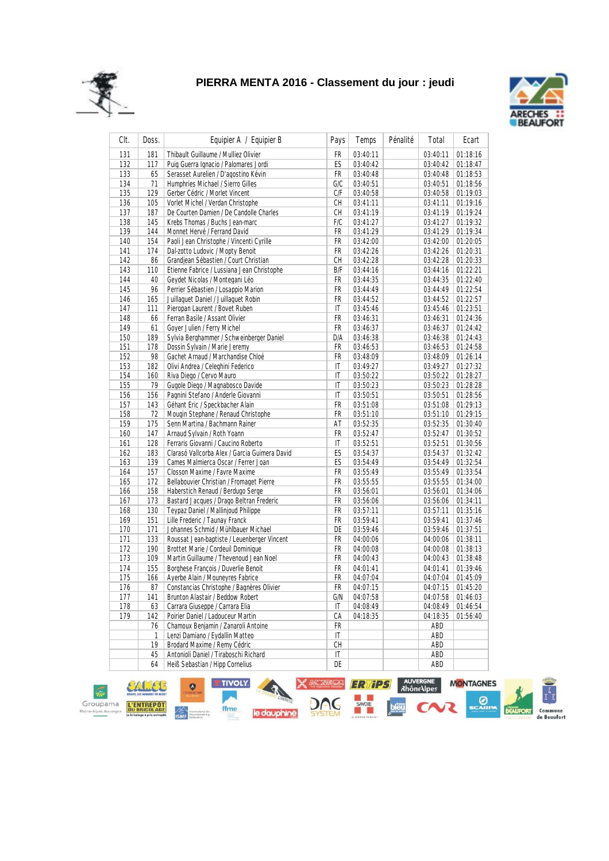



| CIt. | Doss.     | Equipier A / Equipier B                                              | Pays                   | Temps    | Pénalité | Total           | Ecart    |
|------|-----------|----------------------------------------------------------------------|------------------------|----------|----------|-----------------|----------|
| 131  | 181       | Thibault Guillaume / Mulliez Olivier                                 | FR                     | 03:40:11 |          | 03:40:11        | 01:18:16 |
| 132  | 117       | Puig Guerra Ignacio / Palomares Jordi                                | ES                     | 03:40:42 |          | 03:40:42        | 01:18:47 |
| 133  | 65        | Serasset Aurelien / D'agostino Kévin                                 | FR                     | 03:40:48 |          | 03:40:48        | 01:18:53 |
| 134  | 71        | Humphries Michael / Sierro Gilles                                    | G/C                    | 03:40:51 |          | 03:40:51        | 01:18:56 |
| 135  | 129       | Gerber Cédric / Morlet Vincent                                       | C/F                    | 03:40:58 |          | 03:40:58        | 01:19:03 |
| 136  | 105       | Vorlet Michel / Verdan Christophe                                    | CH                     | 03:41:11 |          | 03:41:11        | 01:19:16 |
| 137  | 187       | De Courten Damien / De Candolle Charles                              | СH                     | 03:41:19 |          | 03:41:19        | 01:19:24 |
| 138  | 145       | Krebs Thomas / Buchs Jean-marc                                       | F/C                    | 03:41:27 |          | 03:41:27        | 01:19:32 |
| 139  | 144       | Monnet Hervé / Ferrand David                                         | FR                     | 03:41:29 |          | 03:41:29        | 01:19:34 |
| 140  | 154       | Paoli Jean Christophe / Vincenti Cyrille                             | FR                     | 03:42:00 |          | 03:42:00        | 01:20:05 |
| 141  | 174       | Dal-zotto Ludovic / Mopty Benoit                                     | FR                     | 03:42:26 |          | 03:42:26        | 01:20:31 |
| 142  | 86        | Grandjean Sébastien / Court Christian                                | CH                     | 03:42:28 |          | 03:42:28        | 01:20:33 |
| 143  | 110       | Etienne Fabrice / Lussiana Jean Christophe                           | B/F                    | 03:44:16 |          | 03:44:16        | 01:22:21 |
| 144  | 40        | Geydet Nicolas / Montegani Léo                                       | FR                     | 03:44:35 |          | 03:44:35        | 01:22:40 |
| 145  | 96        | Perrier Sébastien / Losappio Marion                                  | FR                     | 03:44:49 |          | 03:44:49        | 01:22:54 |
| 146  | 165       | Juillaquet Daniel / Juillaquet Robin                                 | FR                     | 03:44:52 |          | 03:44:52        | 01:22:57 |
| 147  | 111       | Pieropan Laurent / Bovet Ruben                                       | $\mathsf{I}\mathsf{T}$ | 03:45:46 |          | 03:45:46        | 01:23:51 |
| 148  | 66        | Ferran Basile / Assant Olivier                                       | FR                     | 03:46:31 |          | 03:46:31        | 01:24:36 |
| 149  | 61        | Goyer Julien / Ferry Michel                                          | FR                     | 03:46:37 |          | 03:46:37        | 01:24:42 |
| 150  | 189       | Sylvia Berghammer / Schweinberger Daniel                             | D/A                    | 03:46:38 |          | 03:46:38        | 01:24:43 |
| 151  | 178       | Dossin Sylvain / Marie Jeremy                                        | FR                     | 03:46:53 |          | 03:46:53        | 01:24:58 |
| 152  | 98        | Gachet Arnaud / Marchandise Chloé                                    | FR                     | 03:48:09 |          | 03:48:09        | 01:26:14 |
| 153  | 182       | Olivi Andrea / Celeghini Federico                                    | IT                     | 03:49:27 |          | 03:49:27        | 01:27:32 |
| 154  | 160       | Riva Diego / Cervo Mauro                                             | IT                     | 03:50:22 |          | 03:50:22        | 01:28:27 |
| 155  | 79        | Gugole Diego / Magnabosco Davide                                     | IT                     | 03:50:23 |          | 03:50:23        | 01:28:28 |
| 156  | 156       | Pagnini Stefano / Anderle Giovanni                                   | $\mathsf{I}\mathsf{T}$ | 03:50:51 |          | 03:50:51        | 01:28:56 |
| 157  | 143       | Géhant Eric / Speckbacher Alain                                      | FR                     | 03:51:08 |          | 03:51:08        | 01:29:13 |
| 158  | 72        | Mougin Stephane / Renaud Christophe                                  | FR                     | 03:51:10 |          | 03:51:10        | 01:29:15 |
| 159  | 175       | Senn Martina / Bachmann Rainer                                       | AT                     | 03:52:35 |          | 03:52:35        | 01:30:40 |
| 160  | 147       | Arnaud Sylvain / Roth Yoann                                          | FR                     | 03:52:47 |          | 03:52:47        | 01:30:52 |
| 161  | 128       | Ferraris Giovanni / Caucino Roberto                                  | IT                     | 03:52:51 |          | 03:52:51        | 01:30:56 |
| 162  | 183       | Clarasó Vallcorba Alex / Garcia Guimera David                        | ES                     | 03:54:37 |          | 03:54:37        | 01:32:42 |
| 163  | 139       | Cames Malmierca Oscar / Ferrer Joan                                  | ES                     | 03:54:49 |          | 03:54:49        | 01:32:54 |
| 164  | 157       | Closson Maxime / Favre Maxime                                        | FR                     | 03:55:49 |          | 03:55:49        | 01:33:54 |
| 165  | 172       | Bellabouvier Christian / Fromaget Pierre                             | FR                     | 03:55:55 |          | 03:55:55        | 01:34:00 |
| 166  | 158       | Haberstich Renaud / Berdugo Serge                                    | FR                     | 03:56:01 |          | 03:56:01        | 01:34:06 |
| 167  | 173       | Bastard Jacques / Drago Beltran Frederic                             | FR                     | 03:56:06 |          | 03:56:06        | 01:34:11 |
| 168  | 130       | Teypaz Daniel / Mallinjoud Philippe                                  | FR                     | 03:57:11 |          | 03:57:11        | 01:35:16 |
| 169  | 151       | Lille Frederic / Taunay Franck                                       | FR                     | 03:59:41 |          | 03:59:41        | 01:37:46 |
| 170  | 171       | Johannes Schmid / Mühlbauer Michael                                  | DE                     | 03:59:46 |          | 03:59:46        | 01:37:51 |
| 171  | 133       | Roussat Jean-baptiste / Leuenberger Vincent                          | FR                     | 04:00:06 |          | 04:00:06        | 01:38:11 |
| 172  | 190       | Brottet Marie / Cordeuil Dominique                                   | FR                     | 04:00:08 |          | 04:00:08        | 01:38:13 |
| 173  | 109       | Martin Guillaume / Thevenoud Jean Noel                               | FR                     | 04:00:43 |          | 04:00:43        | 01:38:48 |
| 174  | 155       | Borghese François / Duverlie Benoit                                  | FR                     | 04:01:41 |          | 04:01:41        | 01:39:46 |
| 175  | 166       | Ayerbe Alain / Mouneyres Fabrice                                     | FR                     | 04:07:04 |          | 04:07:04        | 01:45:09 |
| 176  | 87        | Constancias Christophe / Bagnères Olivier                            | FR                     | 04:07:15 |          | 04:07:15        | 01:45:20 |
| 177  | 141       | Brunton Alastair / Beddow Robert                                     | G/N                    | 04:07:58 |          | 04:07:58        | 01:46:03 |
| 178  | 63        | Carrara Giuseppe / Carrara Elia<br>Poirier Daniel / Ladouceur Martin | IT                     | 04:08:49 |          | 04:08:49        | 01:46:54 |
| 179  | 142<br>76 | Chamoux Benjamin / Zanaroli Antoine                                  | СA<br>FR               | 04:18:35 |          | 04:18:35<br>ABD | 01:56:40 |
|      | 1         | Lenzi Damiano / Eydallin Matteo                                      | IT                     |          |          |                 |          |
|      | 19        | Brodard Maxime / Remy Cédric                                         | CH                     |          |          | ABD<br>ABD      |          |
|      | 45        | Antonioli Daniel / Tiraboschi Richard                                | IT                     |          |          | ABD             |          |
|      | 64        | Heiß Sebastian / Hipp Cornelius                                      | DE                     |          |          | ABD             |          |
|      |           |                                                                      |                        |          |          |                 |          |